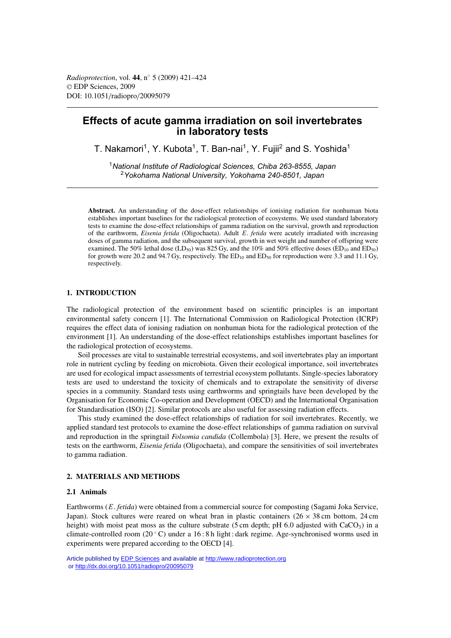# **Effects of acute gamma irradiation on soil invertebrates in laboratory tests**

T. Nakamori<sup>1</sup>, Y. Kubota<sup>1</sup>, T. Ban-nai<sup>1</sup>, Y. Fuiji<sup>2</sup> and S. Yoshida<sup>1</sup>

<sup>1</sup>*National Institute of Radiological Sciences, Chiba 263-8555, Japan* <sup>2</sup>*Yokohama National University, Yokohama 240-8501, Japan*

**Abstract.** An understanding of the dose-effect relationships of ionising radiation for nonhuman biota establishes important baselines for the radiological protection of ecosystems. We used standard laboratory tests to examine the dose-effect relationships of gamma radiation on the survival, growth and reproduction of the earthworm, *Eisenia fetida* (Oligochaeta). Adult E. *fetida* were acutely irradiated with increasing doses of gamma radiation, and the subsequent survival, growth in wet weight and number of offspring were examined. The 50% lethal dose (LD<sub>50</sub>) was 825 Gy, and the 10% and 50% effective doses (ED<sub>10</sub> and ED<sub>50</sub>) for growth were 20.2 and 94.7 Gy, respectively. The  $ED_{10}$  and  $ED_{50}$  for reproduction were 3.3 and 11.1 Gy, respectively.

## **1. INTRODUCTION**

The radiological protection of the environment based on scientific principles is an important environmental safety concern [1]. The International Commission on Radiological Protection (ICRP) requires the effect data of ionising radiation on nonhuman biota for the radiological protection of the environment [1]. An understanding of the dose-effect relationships establishes important baselines for the radiological protection of ecosystems.

Soil processes are vital to sustainable terrestrial ecosystems, and soil invertebrates play an important role in nutrient cycling by feeding on microbiota. Given their ecological importance, soil invertebrates are used for ecological impact assessments of terrestrial ecosystem pollutants. Single-species laboratory tests are used to understand the toxicity of chemicals and to extrapolate the sensitivity of diverse species in a community. Standard tests using earthworms and springtails have been developed by the Organisation for Economic Co-operation and Development (OECD) and the International Organisation for Standardisation (ISO) [2]. Similar protocols are also useful for assessing radiation effects.

This study examined the dose-effect relationships of radiation for soil invertebrates. Recently, we applied standard test protocols to examine the dose-effect relationships of gamma radiation on survival and reproduction in the springtail *Folsomia candida* (Collembola) [3]. Here, we present the results of tests on the earthworm, *Eisenia fetida* (Oligochaeta), and compare the sensitivities of soil invertebrates to gamma radiation.

## **2. MATERIALS AND METHODS**

#### **2.1 Animals**

Earthworms (E. *fetida*) were obtained from a commercial source for composting (Sagami Joka Service, Japan). Stock cultures were reared on wheat bran in plastic containers  $(26 \times 38 \text{ cm})$  bottom, 24 cm height) with moist peat moss as the culture substrate (5 cm depth; pH 6.0 adjusted with  $CaCO<sub>3</sub>$ ) in a climate-controlled room (20 ◦ C) under a 16 : 8 h light : dark regime. Age-synchronised worms used in experiments were prepared according to the OECD [4].

Article published by [EDP Sciences](http://www.edpsciences.org) and available at<http://www.radioprotection.org> or <http://dx.doi.org/10.1051/radiopro/20095079>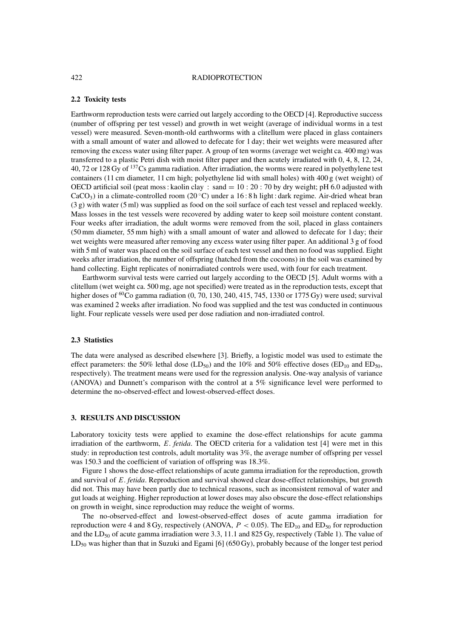#### 422 RADIOPROTECTION

### **2.2 Toxicity tests**

Earthworm reproduction tests were carried out largely according to the OECD [4]. Reproductive success (number of offspring per test vessel) and growth in wet weight (average of individual worms in a test vessel) were measured. Seven-month-old earthworms with a clitellum were placed in glass containers with a small amount of water and allowed to defecate for 1 day; their wet weights were measured after removing the excess water using filter paper. A group of ten worms (average wet weight ca. 400 mg) was transferred to a plastic Petri dish with moist filter paper and then acutely irradiated with 0, 4, 8, 12, 24, 40, 72 or 128 Gy of <sup>137</sup>Cs gamma radiation. After irradiation, the worms were reared in polyethylene test containers (11 cm diameter, 11 cm high; polyethylene lid with small holes) with 400 g (wet weight) of OECD artificial soil (peat moss : kaolin clay : sand  $= 10: 20: 70$  by dry weight; pH 6.0 adjusted with  $CaCO<sub>3</sub>$ ) in a climate-controlled room (20 °C) under a 16:8 h light : dark regime. Air-dried wheat bran (3 g) with water (5 ml) was supplied as food on the soil surface of each test vessel and replaced weekly. Mass losses in the test vessels were recovered by adding water to keep soil moisture content constant. Four weeks after irradiation, the adult worms were removed from the soil, placed in glass containers (50 mm diameter, 55 mm high) with a small amount of water and allowed to defecate for 1 day; their wet weights were measured after removing any excess water using filter paper. An additional 3 g of food with 5 ml of water was placed on the soil surface of each test vessel and then no food was supplied. Eight weeks after irradiation, the number of offspring (hatched from the cocoons) in the soil was examined by hand collecting. Eight replicates of nonirradiated controls were used, with four for each treatment.

Earthworm survival tests were carried out largely according to the OECD [5]. Adult worms with a clitellum (wet weight ca. 500 mg, age not specified) were treated as in the reproduction tests, except that higher doses of  ${}^{60}$ Co gamma radiation (0, 70, 130, 240, 415, 745, 1330 or 1775 Gy) were used; survival was examined 2 weeks after irradiation. No food was supplied and the test was conducted in continuous light. Four replicate vessels were used per dose radiation and non-irradiated control.

## **2.3 Statistics**

The data were analysed as described elsewhere [3]. Briefly, a logistic model was used to estimate the effect parameters: the 50% lethal dose (LD<sub>50</sub>) and the 10% and 50% effective doses (ED<sub>10</sub> and ED<sub>50</sub>, respectively). The treatment means were used for the regression analysis. One-way analysis of variance (ANOVA) and Dunnett's comparison with the control at a 5% significance level were performed to determine the no-observed-effect and lowest-observed-effect doses.

## **3. RESULTS AND DISCUSSION**

Laboratory toxicity tests were applied to examine the dose-effect relationships for acute gamma irradiation of the earthworm, E. *fetida*. The OECD criteria for a validation test [4] were met in this study: in reproduction test controls, adult mortality was 3%, the average number of offspring per vessel was 150.3 and the coefficient of variation of offspring was 18.3%.

Figure 1 shows the dose-effect relationships of acute gamma irradiation for the reproduction, growth and survival of E. *fetida*. Reproduction and survival showed clear dose-effect relationships, but growth did not. This may have been partly due to technical reasons, such as inconsistent removal of water and gut loads at weighing. Higher reproduction at lower doses may also obscure the dose-effect relationships on growth in weight, since reproduction may reduce the weight of worms.

The no-observed-effect and lowest-observed-effect doses of acute gamma irradiation for reproduction were 4 and 8 Gy, respectively (ANOVA,  $P < 0.05$ ). The ED<sub>10</sub> and ED<sub>50</sub> for reproduction and the LD<sub>50</sub> of acute gamma irradiation were 3.3, 11.1 and 825 Gy, respectively (Table 1). The value of  $LD_{50}$  was higher than that in Suzuki and Egami [6] (650 Gy), probably because of the longer test period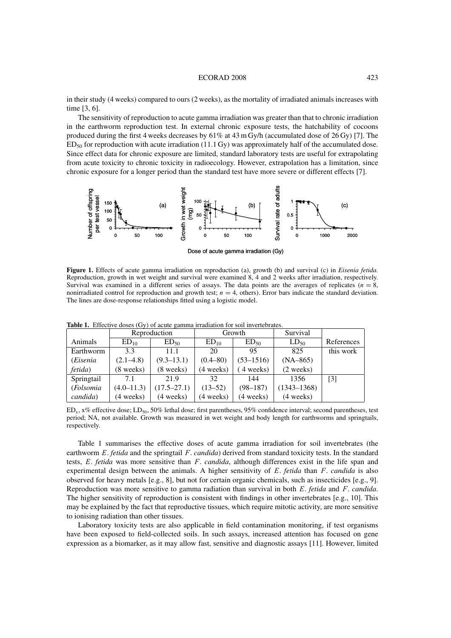#### ECORAD 2008 423

in their study (4 weeks) compared to ours (2 weeks), as the mortality of irradiated animals increases with time [3, 6].

The sensitivity of reproduction to acute gamma irradiation was greater than that to chronic irradiation in the earthworm reproduction test. In external chronic exposure tests, the hatchability of cocoons produced during the first 4 weeks decreases by 61% at 43 m Gy/h (accumulated dose of 26 Gy) [7]. The ED50 for reproduction with acute irradiation (11.1 Gy) was approximately half of the accumulated dose. Since effect data for chronic exposure are limited, standard laboratory tests are useful for extrapolating from acute toxicity to chronic toxicity in radioecology. However, extrapolation has a limitation, since chronic exposure for a longer period than the standard test have more severe or different effects [7].



Dose of acute gamma irradiation (Gy)

**Figure 1.** Effects of acute gamma irradiation on reproduction (a), growth (b) and survival (c) in *Eisenia fetida.* Reproduction, growth in wet weight and survival were examined 8, 4 and 2 weeks after irradiation, respectively. Survival was examined in a different series of assays. The data points are the averages of replicates ( $n = 8$ , nonirradiated control for reproduction and growth test;  $n = 4$ , others). Error bars indicate the standard deviation. The lines are dose-response relationships fitted using a logistic model.

|            | Reproduction        |                     | Growth           |                     | Survival            |                   |
|------------|---------------------|---------------------|------------------|---------------------|---------------------|-------------------|
| Animals    | ED <sub>10</sub>    | $ED_{50}$           | ED <sub>10</sub> | $ED_{50}$           | $LD_{50}$           | References        |
| Earthworm  | 3.3                 | 11.1                | 20               | 95                  | 825                 | this work         |
| (Eisenia   | $(2.1 - 4.8)$       | $(9.3 - 13.1)$      | $(0.4 - 80)$     | $(53 - 1516)$       | $(NA-865)$          |                   |
| fetida)    | $(8 \text{ weeks})$ | $(8 \text{ weeks})$ | (4 weeks)        | 4 weeks)            | (2 weeks)           |                   |
| Springtail | 7.1                 | 21.9                | 32               | 144                 | 1356                | $\lceil 3 \rceil$ |
| (Folsomia  | $(4.0 - 11.3)$      | $(17.5 - 27.1)$     | $(13-52)$        | $(98 - 187)$        | $(1343 - 1368)$     |                   |
| candida)   | $(4 \text{ weeks})$ | $(4 \text{ weeks})$ | (4 weeks)        | $(4 \text{ weeks})$ | $(4 \text{ weeks})$ |                   |

**Table 1.** Effective doses (Gy) of acute gamma irradiation for soil invertebrates.

 $ED_x$ ,  $x\%$  effective dose;  $LD_{50}$ , 50% lethal dose; first parentheses, 95% confidence interval; second parentheses, test period; NA, not available. Growth was measured in wet weight and body length for earthworms and springtails, respectively.

Table 1 summarises the effective doses of acute gamma irradiation for soil invertebrates (the earthworm E. *fetida* and the springtail F. *candida*) derived from standard toxicity tests. In the standard tests, E. *fetida* was more sensitive than F. *candida*, although differences exist in the life span and experimental design between the animals. A higher sensitivity of E. *fetida* than F. *candida* is also observed for heavy metals [e.g., 8], but not for certain organic chemicals, such as insecticides [e.g., 9]. Reproduction was more sensitive to gamma radiation than survival in both E. *fetida* and F. *candida*. The higher sensitivity of reproduction is consistent with findings in other invertebrates [e.g., 10]. This may be explained by the fact that reproductive tissues, which require mitotic activity, are more sensitive to ionising radiation than other tissues.

Laboratory toxicity tests are also applicable in field contamination monitoring, if test organisms have been exposed to field-collected soils. In such assays, increased attention has focused on gene expression as a biomarker, as it may allow fast, sensitive and diagnostic assays [11]. However, limited